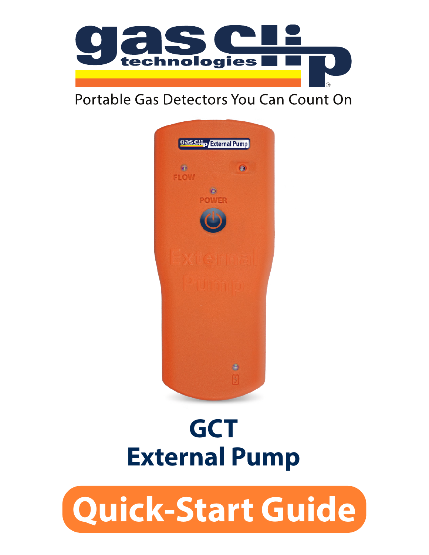

#### Portable Gas Detectors You Can Count On



# **GCT External Pump**

# **Quick-Start Guide**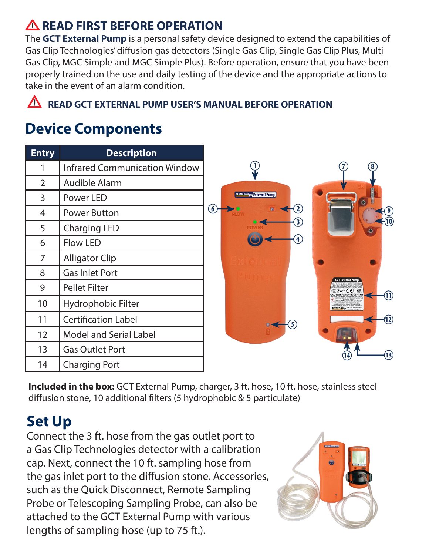#### **READ FIRST BEFORE OPERATION**

The **GCT External Pump** is a personal safety device designed to extend the capabilities of Gas Clip Technologies' diffusion gas detectors (Single Gas Clip, Single Gas Clip Plus, Multi Gas Clip, MGC Simple and MGC Simple Plus). Before operation, ensure that you have been properly trained on the use and daily testing of the device and the appropriate actions to take in the event of an alarm condition.

**A** READ GCT EXTERNAL PUMP USER'S MANUAL BEFORE OPERATION

#### **Device Components**

| <b>Entry</b>   | <b>Description</b>                   |                   |
|----------------|--------------------------------------|-------------------|
|                | <b>Infrared Communication Window</b> |                   |
| $\overline{2}$ | Audible Alarm                        |                   |
| 3              | Power LED                            |                   |
| 4              | Power Button                         | $\left( 6\right)$ |
| 5              | Charging LED                         |                   |
| 6              | <b>Flow LED</b>                      |                   |
| 7              | <b>Alligator Clip</b>                |                   |
| 8              | <b>Gas Inlet Port</b>                |                   |
| 9              | <b>Pellet Filter</b>                 |                   |
| 10             | Hydrophobic Filter                   |                   |
| 11             | <b>Certification Label</b>           |                   |
| 12             | Model and Serial Label               |                   |
| 13             | <b>Gas Outlet Port</b>               |                   |
| 14             | <b>Charging Port</b>                 |                   |



**Included in the box:** GCT External Pump, charger, 3 ft. hose, 10 ft. hose, stainless steel diffusion stone, 10 additional filters (5 hydrophobic & 5 particulate)

### **Set Up**

Connect the 3 ft. hose from the gas outlet port to a Gas Clip Technologies detector with a calibration cap. Next, connect the 10 ft. sampling hose from the gas inlet port to the diffusion stone. Accessories, such as the Quick Disconnect, Remote Sampling Probe or Telescoping Sampling Probe, can also be attached to the GCT External Pump with various lengths of sampling hose (up to 75 ft.).

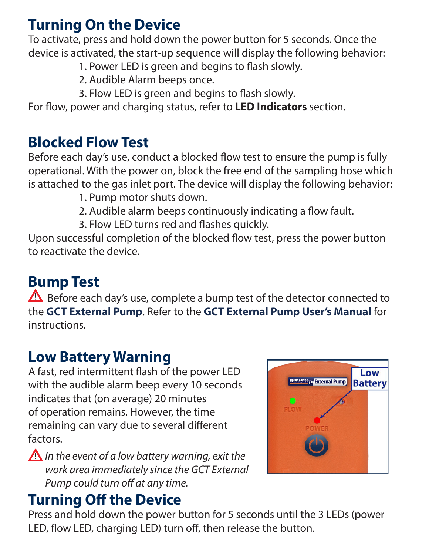#### **Turning On the Device**

To activate, press and hold down the power button for 5 seconds. Once the device is activated, the start-up sequence will display the following behavior:

- 1. Power LED is green and begins to flash slowly.
- 2. Audible Alarm beeps once.
- 3. Flow LED is green and begins to flash slowly.

For flow, power and charging status, refer to **LED Indicators** section.

#### **Blocked Flow Test**

Before each day's use, conduct a blocked flow test to ensure the pump is fully operational. With the power on, block the free end of the sampling hose which is attached to the gas inlet port. The device will display the following behavior:

- 1. Pump motor shuts down.
- 2. Audible alarm beeps continuously indicating a flow fault.
- 3. Flow LED turns red and flashes quickly.

Upon successful completion of the blocked flow test, press the power button to reactivate the device.

# **Bump Test**

 $\triangle$  Before each day's use, complete a bump test of the detector connected to the **GCT External Pump**. Refer to the **GCT External Pump User's Manual** for instructions.

### **Low Battery Warning**

A fast, red intermittent flash of the power LED with the audible alarm beep every 10 seconds indicates that (on average) 20 minutes of operation remains. However, the time remaining can vary due to several different factors.

*In the event of a low battery warning, exit the work area immediately since the GCT External Pump could turn off at any time.* 

# **Turning Off the Device**

Press and hold down the power button for 5 seconds until the 3 LEDs (power LED, flow LED, charging LED) turn off, then release the button.